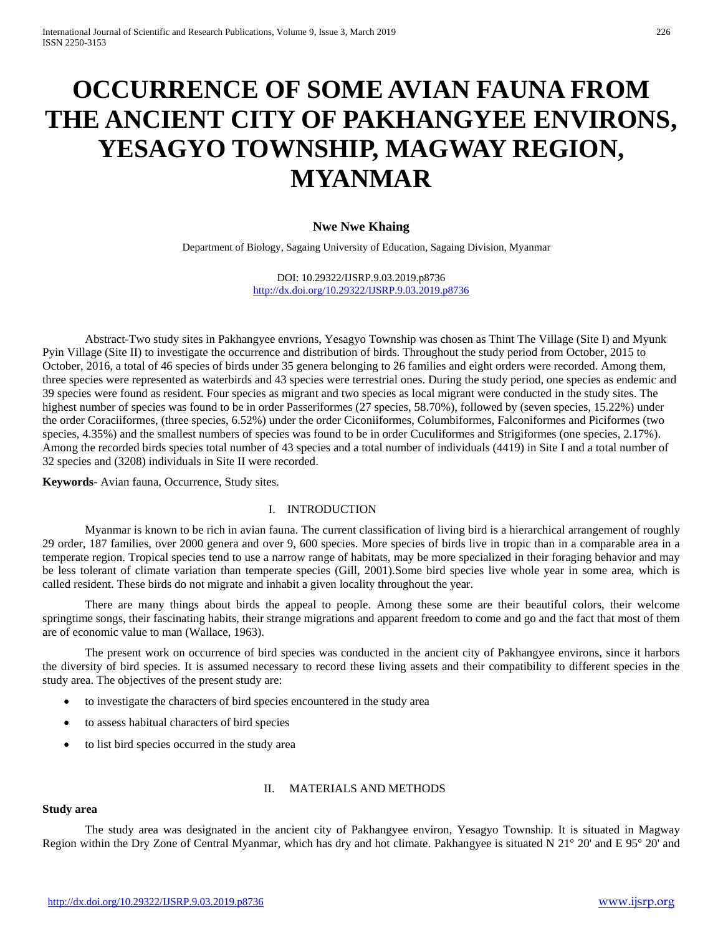# **OCCURRENCE OF SOME AVIAN FAUNA FROM THE ANCIENT CITY OF PAKHANGYEE ENVIRONS, YESAGYO TOWNSHIP, MAGWAY REGION, MYANMAR**

# **Nwe Nwe Khaing**

Department of Biology, Sagaing University of Education, Sagaing Division, Myanmar

DOI: 10.29322/IJSRP.9.03.2019.p8736 <http://dx.doi.org/10.29322/IJSRP.9.03.2019.p8736>

Abstract-Two study sites in Pakhangyee envrions, Yesagyo Township was chosen as Thint The Village (Site I) and Myunk Pyin Village (Site II) to investigate the occurrence and distribution of birds. Throughout the study period from October, 2015 to October, 2016, a total of 46 species of birds under 35 genera belonging to 26 families and eight orders were recorded. Among them, three species were represented as waterbirds and 43 species were terrestrial ones. During the study period, one species as endemic and 39 species were found as resident. Four species as migrant and two species as local migrant were conducted in the study sites. The highest number of species was found to be in order Passeriformes (27 species, 58.70%), followed by (seven species, 15.22%) under the order Coraciiformes, (three species, 6.52%) under the order Ciconiiformes, Columbiformes, Falconiformes and Piciformes (two species, 4.35%) and the smallest numbers of species was found to be in order Cuculiformes and Strigiformes (one species, 2.17%). Among the recorded birds species total number of 43 species and a total number of individuals (4419) in Site I and a total number of 32 species and (3208) individuals in Site II were recorded.

**Keywords**- Avian fauna, Occurrence, Study sites.

# I. INTRODUCTION

Myanmar is known to be rich in avian fauna. The current classification of living bird is a hierarchical arrangement of roughly 29 order, 187 families, over 2000 genera and over 9, 600 species. More species of birds live in tropic than in a comparable area in a temperate region. Tropical species tend to use a narrow range of habitats, may be more specialized in their foraging behavior and may be less tolerant of climate variation than temperate species (Gill, 2001).Some bird species live whole year in some area, which is called resident. These birds do not migrate and inhabit a given locality throughout the year.

There are many things about birds the appeal to people. Among these some are their beautiful colors, their welcome springtime songs, their fascinating habits, their strange migrations and apparent freedom to come and go and the fact that most of them are of economic value to man (Wallace, 1963).

The present work on occurrence of bird species was conducted in the ancient city of Pakhangyee environs, since it harbors the diversity of bird species. It is assumed necessary to record these living assets and their compatibility to different species in the study area. The objectives of the present study are:

- to investigate the characters of bird species encountered in the study area
- to assess habitual characters of bird species
- to list bird species occurred in the study area

# II. MATERIALS AND METHODS

#### **Study area**

The study area was designated in the ancient city of Pakhangyee environ, Yesagyo Township. It is situated in Magway Region within the Dry Zone of Central Myanmar, which has dry and hot climate. Pakhangyee is situated N 21° 20' and E 95° 20' and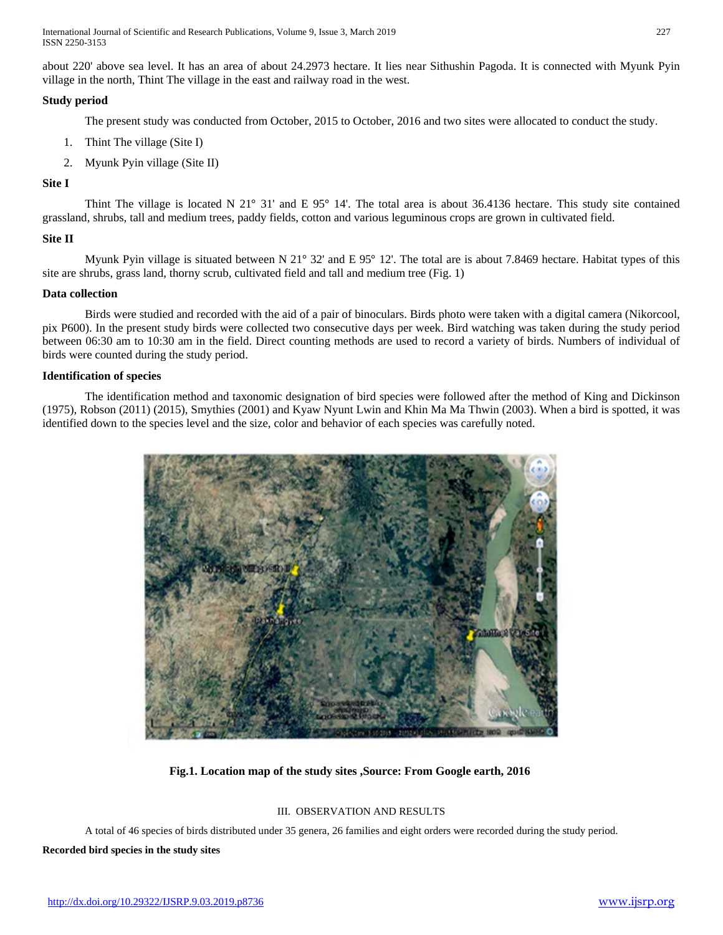International Journal of Scientific and Research Publications, Volume 9, Issue 3, March 2019 227 ISSN 2250-3153

about 220' above sea level. It has an area of about 24.2973 hectare. It lies near Sithushin Pagoda. It is connected with Myunk Pyin village in the north, Thint The village in the east and railway road in the west.

# **Study period**

The present study was conducted from October, 2015 to October, 2016 and two sites were allocated to conduct the study.

- 1. Thint The village (Site I)
- 2. Myunk Pyin village (Site II)

# **Site I**

Thint The village is located N 21° 31' and E 95° 14'. The total area is about 36.4136 hectare. This study site contained grassland, shrubs, tall and medium trees, paddy fields, cotton and various leguminous crops are grown in cultivated field.

### **Site II**

Myunk Pyin village is situated between N 21° 32' and E 95° 12'. The total are is about 7.8469 hectare. Habitat types of this site are shrubs, grass land, thorny scrub, cultivated field and tall and medium tree (Fig. 1)

# **Data collection**

Birds were studied and recorded with the aid of a pair of binoculars. Birds photo were taken with a digital camera (Nikorcool, pix P600). In the present study birds were collected two consecutive days per week. Bird watching was taken during the study period between 06:30 am to 10:30 am in the field. Direct counting methods are used to record a variety of birds. Numbers of individual of birds were counted during the study period.

#### **Identification of species**

The identification method and taxonomic designation of bird species were followed after the method of King and Dickinson (1975), Robson (2011) (2015), Smythies (2001) and Kyaw Nyunt Lwin and Khin Ma Ma Thwin (2003). When a bird is spotted, it was identified down to the species level and the size, color and behavior of each species was carefully noted.



# **Fig.1. Location map of the study sites ,Source: From Google earth, 2016**

# III. OBSERVATION AND RESULTS

A total of 46 species of birds distributed under 35 genera, 26 families and eight orders were recorded during the study period.

#### **Recorded bird species in the study sites**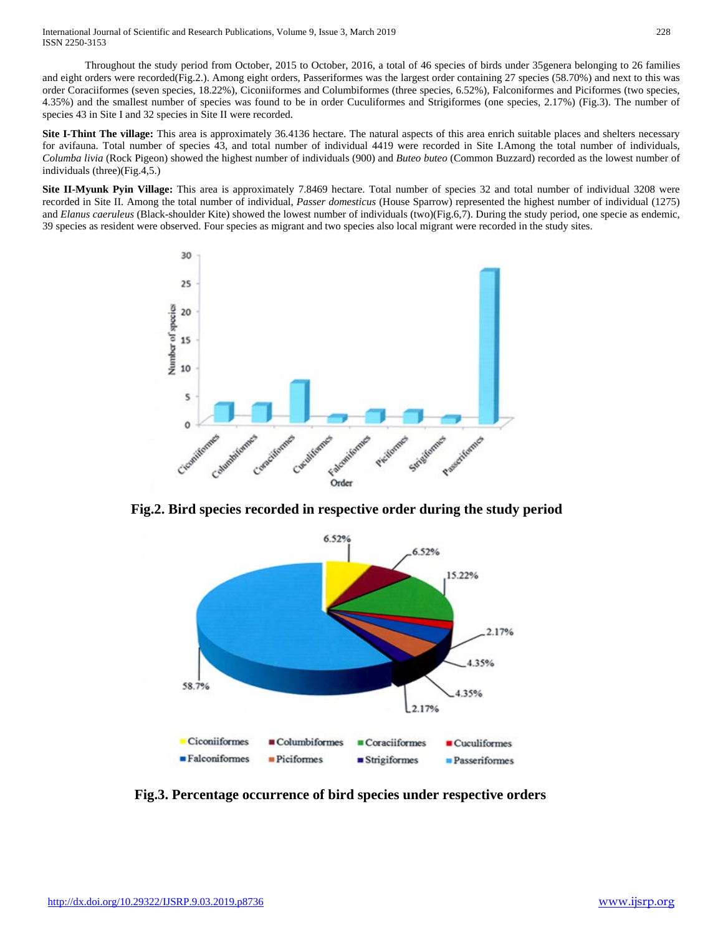International Journal of Scientific and Research Publications, Volume 9, Issue 3, March 2019 228 ISSN 2250-3153

Throughout the study period from October, 2015 to October, 2016, a total of 46 species of birds under 35genera belonging to 26 families and eight orders were recorded(Fig.2.). Among eight orders, Passeriformes was the largest order containing 27 species (58.70%) and next to this was order Coraciiformes (seven species, 18.22%), Ciconiiformes and Columbiformes (three species, 6.52%), Falconiformes and Piciformes (two species, 4.35%) and the smallest number of species was found to be in order Cuculiformes and Strigiformes (one species, 2.17%) (Fig.3). The number of species 43 in Site I and 32 species in Site II were recorded.

**Site I-Thint The village:** This area is approximately 36.4136 hectare. The natural aspects of this area enrich suitable places and shelters necessary for avifauna. Total number of species 43, and total number of individual 4419 were recorded in Site I.Among the total number of individuals, *Columba livia* (Rock Pigeon) showed the highest number of individuals (900) and *Buteo buteo* (Common Buzzard) recorded as the lowest number of individuals (three)(Fig.4,5.)

**Site II-Myunk Pyin Village:** This area is approximately 7.8469 hectare. Total number of species 32 and total number of individual 3208 were recorded in Site II. Among the total number of individual, *Passer domesticus* (House Sparrow) represented the highest number of individual (1275) and *Elanus caeruleus* (Black-shoulder Kite) showed the lowest number of individuals (two)(Fig.6,7). During the study period, one specie as endemic, 39 species as resident were observed. Four species as migrant and two species also local migrant were recorded in the study sites.



 **Fig.2. Bird species recorded in respective order during the study period**



 **Fig.3. Percentage occurrence of bird species under respective orders**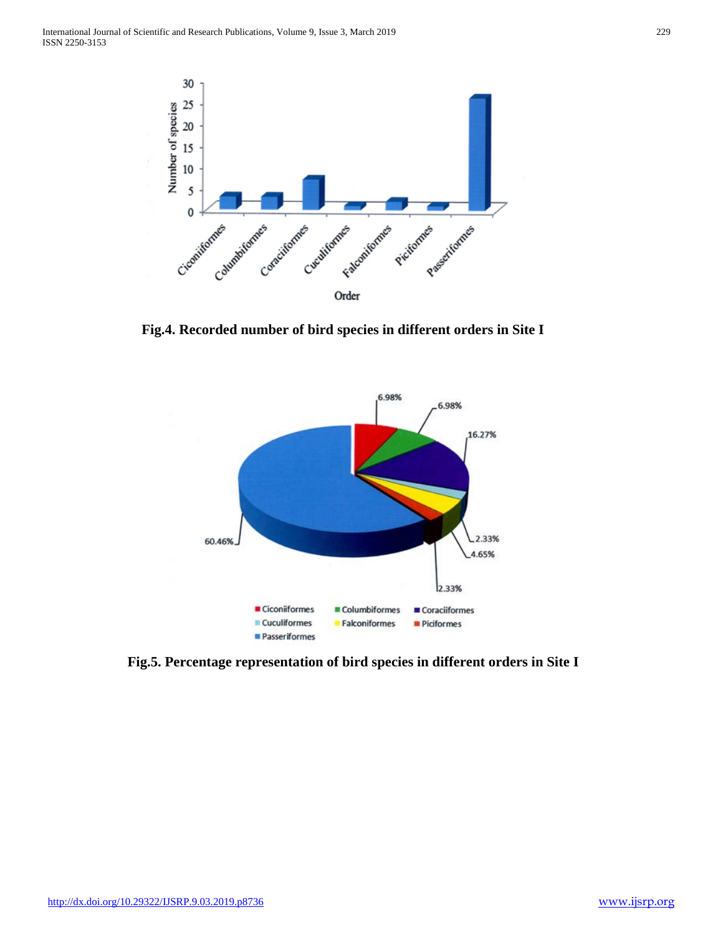

 **Fig.4. Recorded number of bird species in different orders in Site I**



**Fig.5. Percentage representation of bird species in different orders in Site I**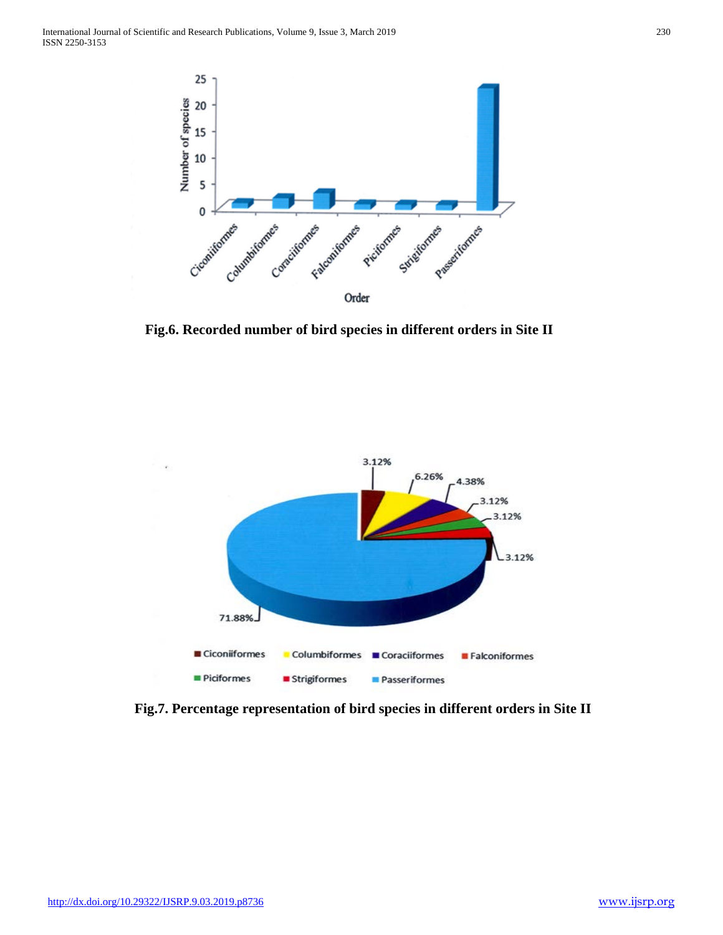

**Fig.6. Recorded number of bird species in different orders in Site II**



**Fig.7. Percentage representation of bird species in different orders in Site II**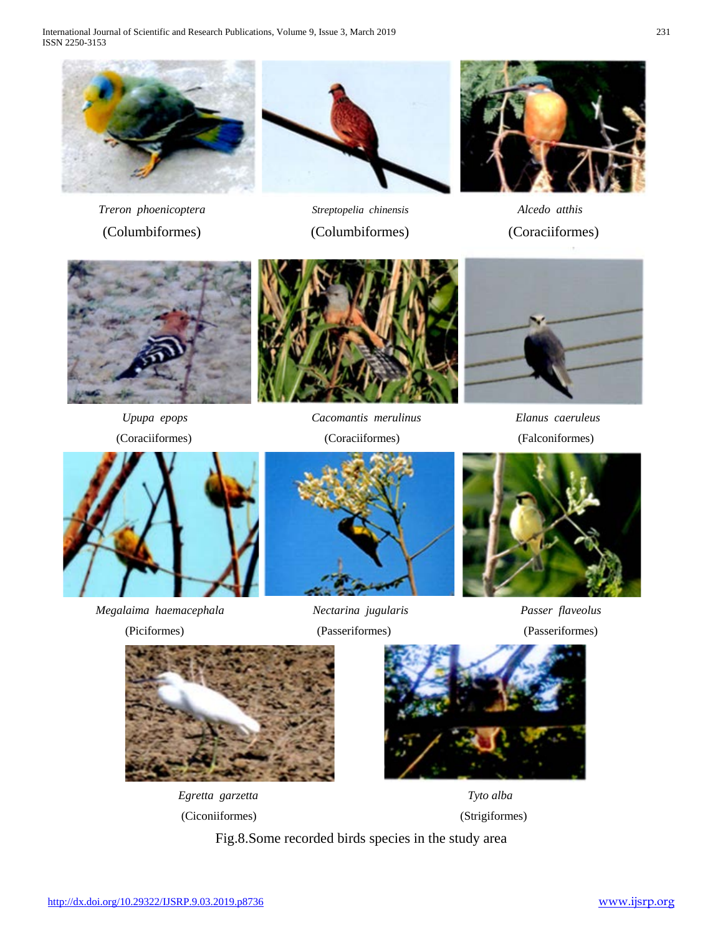International Journal of Scientific and Research Publications, Volume 9, Issue 3, March 2019 231 ISSN 2250-3153









(Coraciiformes) (Coraciiformes) (Falconiformes)





*Upupa epops Cacomantis merulinus Elanus caeruleus* 



*Megalaima haemacephala Nectarina jugularis Passer flaveolus*



(Piciformes) (Passeriformes) (Passeriformes)





(Ciconiiformes) (Strigiformes)





Fig.8.Some recorded birds species in the study area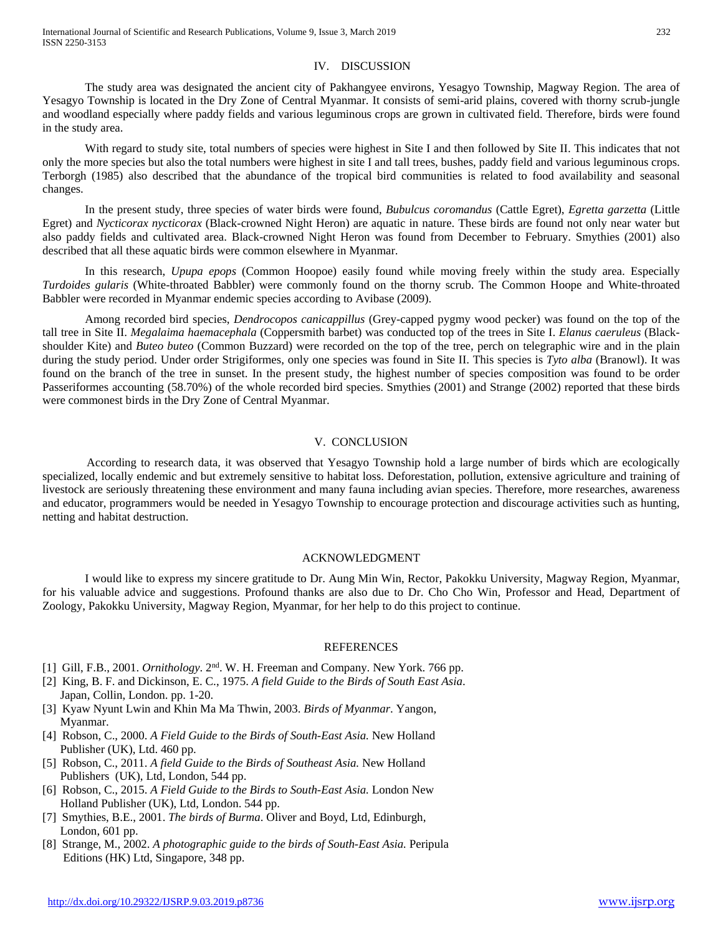# IV. DISCUSSION

The study area was designated the ancient city of Pakhangyee environs, Yesagyo Township, Magway Region. The area of Yesagyo Township is located in the Dry Zone of Central Myanmar. It consists of semi-arid plains, covered with thorny scrub-jungle and woodland especially where paddy fields and various leguminous crops are grown in cultivated field. Therefore, birds were found in the study area.

With regard to study site, total numbers of species were highest in Site I and then followed by Site II. This indicates that not only the more species but also the total numbers were highest in site I and tall trees, bushes, paddy field and various leguminous crops. Terborgh (1985) also described that the abundance of the tropical bird communities is related to food availability and seasonal changes.

In the present study, three species of water birds were found, *Bubulcus coromandus* (Cattle Egret), *Egretta garzetta* (Little Egret) and *Nycticorax nycticorax* (Black-crowned Night Heron) are aquatic in nature. These birds are found not only near water but also paddy fields and cultivated area. Black-crowned Night Heron was found from December to February. Smythies (2001) also described that all these aquatic birds were common elsewhere in Myanmar.

In this research, *Upupa epops* (Common Hoopoe) easily found while moving freely within the study area. Especially *Turdoides gularis* (White-throated Babbler) were commonly found on the thorny scrub. The Common Hoope and White-throated Babbler were recorded in Myanmar endemic species according to Avibase (2009).

Among recorded bird species, *Dendrocopos canicappillus* (Grey-capped pygmy wood pecker) was found on the top of the tall tree in Site II. *Megalaima haemacephala* (Coppersmith barbet) was conducted top of the trees in Site I. *Elanus caeruleus* (Blackshoulder Kite) and *Buteo buteo* (Common Buzzard) were recorded on the top of the tree, perch on telegraphic wire and in the plain during the study period. Under order Strigiformes, only one species was found in Site II. This species is *Tyto alba* (Branowl). It was found on the branch of the tree in sunset. In the present study, the highest number of species composition was found to be order Passeriformes accounting (58.70%) of the whole recorded bird species. Smythies (2001) and Strange (2002) reported that these birds were commonest birds in the Dry Zone of Central Myanmar.

# V. CONCLUSION

 According to research data, it was observed that Yesagyo Township hold a large number of birds which are ecologically specialized, locally endemic and but extremely sensitive to habitat loss. Deforestation, pollution, extensive agriculture and training of livestock are seriously threatening these environment and many fauna including avian species. Therefore, more researches, awareness and educator, programmers would be needed in Yesagyo Township to encourage protection and discourage activities such as hunting, netting and habitat destruction.

# ACKNOWLEDGMENT

I would like to express my sincere gratitude to Dr. Aung Min Win, Rector, Pakokku University, Magway Region, Myanmar, for his valuable advice and suggestions. Profound thanks are also due to Dr. Cho Cho Win, Professor and Head, Department of Zoology, Pakokku University, Magway Region, Myanmar, for her help to do this project to continue.

#### REFERENCES

- [1] Gill, F.B., 2001. *Ornithology*. 2nd. W. H. Freeman and Company. New York. 766 pp.
- [2] King, B. F. and Dickinson, E. C., 1975. *A field Guide to the Birds of South East Asia*. Japan, Collin, London. pp. 1-20.
- [3] Kyaw Nyunt Lwin and Khin Ma Ma Thwin, 2003. *Birds of Myanmar*. Yangon, Myanmar.
- [4] Robson, C., 2000. *A Field Guide to the Birds of South-East Asia.* New Holland Publisher (UK), Ltd. 460 pp.
- [5] Robson, C., 2011. *A field Guide to the Birds of Southeast Asia.* New Holland Publishers (UK), Ltd, London, 544 pp.
- [6] Robson, C., 2015. *A Field Guide to the Birds to South-East Asia.* London New Holland Publisher (UK), Ltd, London. 544 pp.
- [7] Smythies, B.E., 2001. *The birds of Burma*. Oliver and Boyd, Ltd, Edinburgh, London, 601 pp.
- [8] Strange, M., 2002. *A photographic guide to the birds of South-East Asia.* Peripula Editions (HK) Ltd, Singapore, 348 pp.